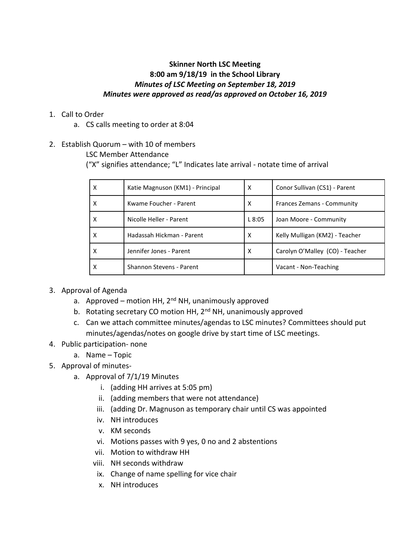# **Skinner North LSC Meeting 8:00 am 9/18/19 in the School Library** *Minutes of LSC Meeting on September 18, 2019 Minutes were approved as read/as approved on October 16, 2019*

- 1. Call to Order
	- a. CS calls meeting to order at 8:04
- 2. Establish Quorum with 10 of members

LSC Member Attendance

("X" signifies attendance; "L" Indicates late arrival - notate time of arrival

| x | Katie Magnuson (KM1) - Principal | X     | Conor Sullivan (CS1) - Parent   |
|---|----------------------------------|-------|---------------------------------|
| x | Kwame Foucher - Parent           | х     | Frances Zemans - Community      |
| x | Nicolle Heller - Parent          | L8:05 | Joan Moore - Community          |
| x | Hadassah Hickman - Parent        | X     | Kelly Mulligan (KM2) - Teacher  |
| x | Jennifer Jones - Parent          | X     | Carolyn O'Malley (CO) - Teacher |
| х | Shannon Stevens - Parent         |       | Vacant - Non-Teaching           |

- 3. Approval of Agenda
	- a. Approved motion HH, 2<sup>nd</sup> NH, unanimously approved
	- b. Rotating secretary CO motion HH, 2<sup>nd</sup> NH, unanimously approved
	- c. Can we attach committee minutes/agendas to LSC minutes? Committees should put minutes/agendas/notes on google drive by start time of LSC meetings.
- 4. Public participation- none
	- a. Name Topic
- 5. Approval of minutes
	- a. Approval of 7/1/19 Minutes
		- i. (adding HH arrives at 5:05 pm)
		- ii. (adding members that were not attendance)
		- iii. (adding Dr. Magnuson as temporary chair until CS was appointed
		- iv. NH introduces
		- v. KM seconds
		- vi. Motions passes with 9 yes, 0 no and 2 abstentions
		- vii. Motion to withdraw HH
		- viii. NH seconds withdraw
		- ix. Change of name spelling for vice chair
		- x. NH introduces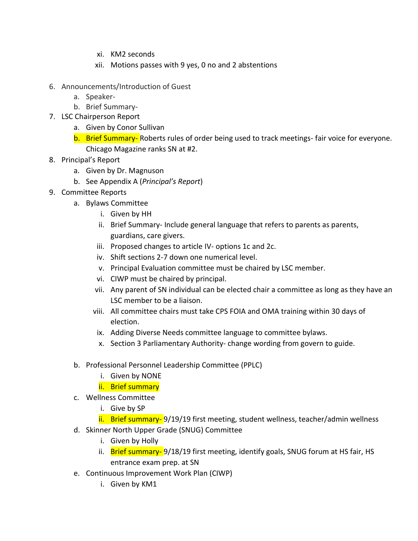- xi. KM2 seconds
- xii. Motions passes with 9 yes, 0 no and 2 abstentions
- 6. Announcements/Introduction of Guest
	- a. Speaker-
	- b. Brief Summary-
- 7. LSC Chairperson Report
	- a. Given by Conor Sullivan
	- b. Brief Summary-Roberts rules of order being used to track meetings-fair voice for everyone. Chicago Magazine ranks SN at #2.
- 8. Principal's Report
	- a. Given by Dr. Magnuson
	- b. See Appendix A (*Principal's Report*)
- 9. Committee Reports
	- a. Bylaws Committee
		- i. Given by HH
		- ii. Brief Summary- Include general language that refers to parents as parents, guardians, care givers.
		- iii. Proposed changes to article IV- options 1c and 2c.
		- iv. Shift sections 2-7 down one numerical level.
		- v. Principal Evaluation committee must be chaired by LSC member.
		- vi. CIWP must be chaired by principal.
		- vii. Any parent of SN individual can be elected chair a committee as long as they have an LSC member to be a liaison.
		- viii. All committee chairs must take CPS FOIA and OMA training within 30 days of election.
		- ix. Adding Diverse Needs committee language to committee bylaws.
		- x. Section 3 Parliamentary Authority- change wording from govern to guide.
	- b. Professional Personnel Leadership Committee (PPLC)
		- i. Given by NONE
		- ii. Brief summary
	- c. Wellness Committee
		- i. Give by SP
		- ii. Brief summary- 9/19/19 first meeting, student wellness, teacher/admin wellness
	- d. Skinner North Upper Grade (SNUG) Committee
		- i. Given by Holly
		- ii. Brief summary- 9/18/19 first meeting, identify goals, SNUG forum at HS fair, HS entrance exam prep. at SN
	- e. Continuous Improvement Work Plan (CIWP)
		- i. Given by KM1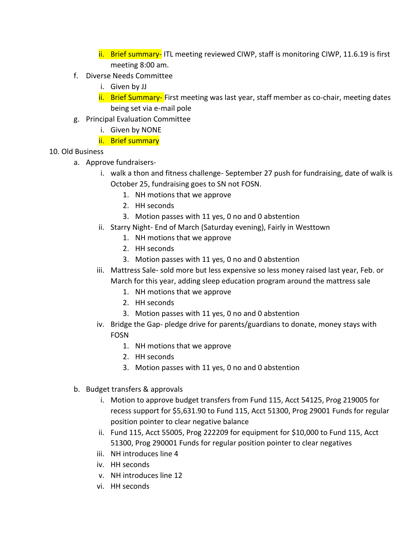ii. Brief summary- ITL meeting reviewed CIWP, staff is monitoring CIWP, 11.6.19 is first meeting 8:00 am.

- f. Diverse Needs Committee
	- i. Given by JJ
	- ii. Brief Summary- First meeting was last year, staff member as co-chair, meeting dates being set via e-mail pole
- g. Principal Evaluation Committee
	- i. Given by NONE
	- ii. Brief summary
- 10. Old Business
	- a. Approve fundraisers
		- i. walk a thon and fitness challenge- September 27 push for fundraising, date of walk is October 25, fundraising goes to SN not FOSN.
			- 1. NH motions that we approve
			- 2. HH seconds
			- 3. Motion passes with 11 yes, 0 no and 0 abstention
		- ii. Starry Night- End of March (Saturday evening), Fairly in Westtown
			- 1. NH motions that we approve
			- 2. HH seconds
			- 3. Motion passes with 11 yes, 0 no and 0 abstention
		- iii. Mattress Sale- sold more but less expensive so less money raised last year, Feb. or March for this year, adding sleep education program around the mattress sale
			- 1. NH motions that we approve
			- 2. HH seconds
			- 3. Motion passes with 11 yes, 0 no and 0 abstention
		- iv. Bridge the Gap- pledge drive for parents/guardians to donate, money stays with FOSN
			- 1. NH motions that we approve
			- 2. HH seconds
			- 3. Motion passes with 11 yes, 0 no and 0 abstention
	- b. Budget transfers & approvals
		- i. Motion to approve budget transfers from Fund 115, Acct 54125, Prog 219005 for recess support for \$5,631.90 to Fund 115, Acct 51300, Prog 29001 Funds for regular position pointer to clear negative balance
		- ii. Fund 115, Acct 55005, Prog 222209 for equipment for \$10,000 to Fund 115, Acct 51300, Prog 290001 Funds for regular position pointer to clear negatives
		- iii. NH introduces line 4
		- iv. HH seconds
		- v. NH introduces line 12
		- vi. HH seconds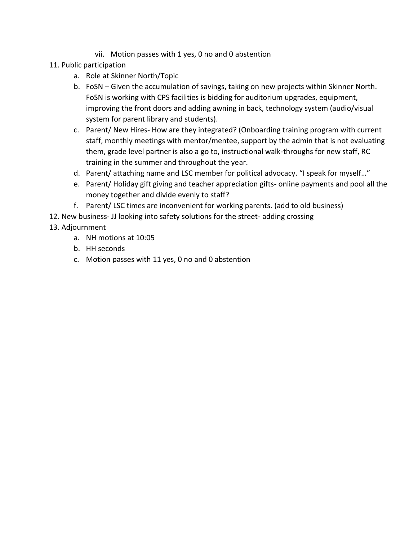- vii. Motion passes with 1 yes, 0 no and 0 abstention
- 11. Public participation
	- a. Role at Skinner North/Topic
	- b. FoSN Given the accumulation of savings, taking on new projects within Skinner North. FoSN is working with CPS facilities is bidding for auditorium upgrades, equipment, improving the front doors and adding awning in back, technology system (audio/visual system for parent library and students).
	- c. Parent/ New Hires- How are they integrated? (Onboarding training program with current staff, monthly meetings with mentor/mentee, support by the admin that is not evaluating them, grade level partner is also a go to, instructional walk-throughs for new staff, RC training in the summer and throughout the year.
	- d. Parent/ attaching name and LSC member for political advocacy. "I speak for myself…"
	- e. Parent/ Holiday gift giving and teacher appreciation gifts- online payments and pool all the money together and divide evenly to staff?
	- f. Parent/ LSC times are inconvenient for working parents. (add to old business)
- 12. New business- JJ looking into safety solutions for the street- adding crossing

# 13. Adjournment

- a. NH motions at 10:05
- b. HH seconds
- c. Motion passes with 11 yes, 0 no and 0 abstention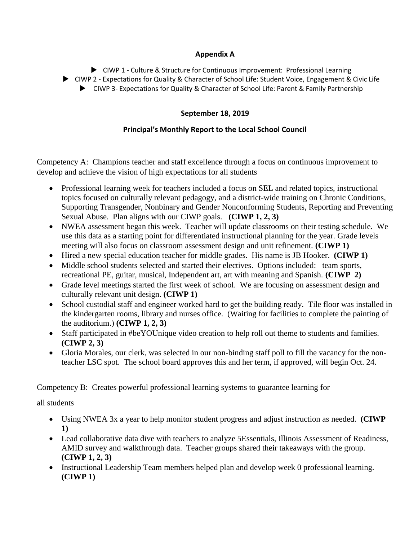#### **Appendix A**

CIWP 1 - Culture & Structure for Continuous Improvement: Professional Learning

CIWP 2 - Expectations for Quality & Character of School Life: Student Voice, Engagement & Civic Life

CIWP 3- Expectations for Quality & Character of School Life: Parent & Family Partnership

### **September 18, 2019**

# **Principal's Monthly Report to the Local School Council**

Competency A: Champions teacher and staff excellence through a focus on continuous improvement to develop and achieve the vision of high expectations for all students

- Professional learning week for teachers included a focus on SEL and related topics, instructional topics focused on culturally relevant pedagogy, and a district-wide training on Chronic Conditions, Supporting Transgender, Nonbinary and Gender Nonconforming Students, Reporting and Preventing Sexual Abuse. Plan aligns with our CIWP goals. **(CIWP 1, 2, 3)**
- NWEA assessment began this week. Teacher will update classrooms on their testing schedule. We use this data as a starting point for differentiated instructional planning for the year. Grade levels meeting will also focus on classroom assessment design and unit refinement. **(CIWP 1)**
- Hired a new special education teacher for middle grades. His name is JB Hooker. **(CIWP 1)**
- Middle school students selected and started their electives. Options included: team sports, recreational PE, guitar, musical, Independent art, art with meaning and Spanish. **(CIWP 2)**
- Grade level meetings started the first week of school. We are focusing on assessment design and culturally relevant unit design. **(CIWP 1)**
- School custodial staff and engineer worked hard to get the building ready. Tile floor was installed in the kindergarten rooms, library and nurses office. (Waiting for facilities to complete the painting of the auditorium.) **(CIWP 1, 2, 3)**
- Staff participated in #beYOUnique video creation to help roll out theme to students and families. **(CIWP 2, 3)**
- Gloria Morales, our clerk, was selected in our non-binding staff poll to fill the vacancy for the nonteacher LSC spot. The school board approves this and her term, if approved, will begin Oct. 24.

Competency B: Creates powerful professional learning systems to guarantee learning for

all students

- Using NWEA 3x a year to help monitor student progress and adjust instruction as needed. **(CIWP 1)**
- Lead collaborative data dive with teachers to analyze 5Essentials, Illinois Assessment of Readiness, AMID survey and walkthrough data. Teacher groups shared their takeaways with the group. **(CIWP 1, 2, 3)**
- Instructional Leadership Team members helped plan and develop week 0 professional learning. **(CIWP 1)**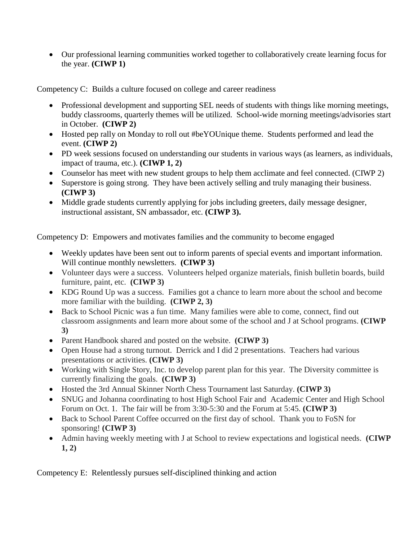Our professional learning communities worked together to collaboratively create learning focus for the year. **(CIWP 1)**

Competency C: Builds a culture focused on college and career readiness

- Professional development and supporting SEL needs of students with things like morning meetings, buddy classrooms, quarterly themes will be utilized. School-wide morning meetings/advisories start in October. **(CIWP 2)**
- Hosted pep rally on Monday to roll out #beYOUnique theme. Students performed and lead the event. **(CIWP 2)**
- PD week sessions focused on understanding our students in various ways (as learners, as individuals, impact of trauma, etc.). **(CIWP 1, 2)**
- Counselor has meet with new student groups to help them acclimate and feel connected. (CIWP 2)
- Superstore is going strong. They have been actively selling and truly managing their business. **(CIWP 3)**
- Middle grade students currently applying for jobs including greeters, daily message designer, instructional assistant, SN ambassador, etc. **(CIWP 3).**

Competency D: Empowers and motivates families and the community to become engaged

- Weekly updates have been sent out to inform parents of special events and important information. Will continue monthly newsletters. **(CIWP 3)**
- Volunteer days were a success. Volunteers helped organize materials, finish bulletin boards, build furniture, paint, etc. **(CIWP 3)**
- KDG Round Up was a success. Families got a chance to learn more about the school and become more familiar with the building. **(CIWP 2, 3)**
- Back to School Picnic was a fun time. Many families were able to come, connect, find out classroom assignments and learn more about some of the school and J at School programs. **(CIWP 3)**
- Parent Handbook shared and posted on the website. **(CIWP 3)**
- Open House had a strong turnout. Derrick and I did 2 presentations. Teachers had various presentations or activities. **(CIWP 3)**
- Working with Single Story, Inc. to develop parent plan for this year. The Diversity committee is currently finalizing the goals. **(CIWP 3)**
- Hosted the 3rd Annual Skinner North Chess Tournament last Saturday. **(CIWP 3)**
- SNUG and Johanna coordinating to host High School Fair and Academic Center and High School Forum on Oct. 1. The fair will be from 3:30-5:30 and the Forum at 5:45. **(CIWP 3)**
- Back to School Parent Coffee occurred on the first day of school. Thank you to FoSN for sponsoring! **(CIWP 3)**
- Admin having weekly meeting with J at School to review expectations and logistical needs. **(CIWP 1, 2)**

Competency E: Relentlessly pursues self-disciplined thinking and action